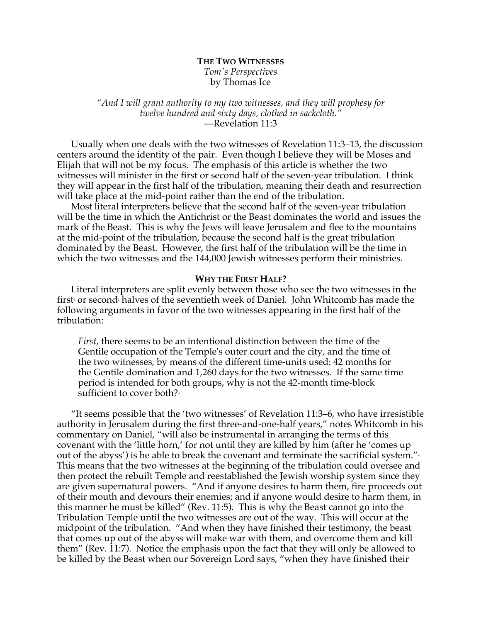# **THE TWO WITNESSES** *Tom's Perspectives* by Thomas Ice

### *"And I will grant authority to my two witnesses, and they will prophesy for twelve hundred and sixty days, clothed in sackcloth."* —Revelation 11:3

Usually when one deals with the two witnesses of Revelation 11:3–13, the discussion centers around the identity of the pair. Even though I believe they will be Moses and Elijah that will not be my focus. The emphasis of this article is whether the two witnesses will minister in the first or second half of the seven-year tribulation. I think they will appear in the first half of the tribulation, meaning their death and resurrection will take place at the mid-point rather than the end of the tribulation.

Most literal interpreters believe that the second half of the seven-year tribulation will be the time in which the Antichrist or the Beast dominates the world and issues the mark of the Beast. This is why the Jews will leave Jerusalem and flee to the mountains at the mid-point of the tribulation, because the second half is the great tribulation dominated by the Beast. However, the first half of the tribulation will be the time in which the two witnesses and the 144,000 Jewish witnesses perform their ministries.

#### **WHY THE FIRST HALF?**

Literal interpreters are split evenly between those who see the two witnesses in the first or second<sup>2</sup> halves of the seventieth week of Daniel. John Whitcomb has made the following arguments in favor of the two witnesses appearing in the first half of the tribulation:

*First*, there seems to be an intentional distinction between the time of the Gentile occupation of the Temple's outer court and the city, and the time of the two witnesses, by means of the different time-units used: 42 months for the Gentile domination and 1,260 days for the two witnesses. If the same time period is intended for both groups, why is not the 42-month time-block sufficient to cover both?<sup>3</sup>

"It seems possible that the 'two witnesses' of Revelation 11:3–6, who have irresistible authority in Jerusalem during the first three-and-one-half years," notes Whitcomb in his commentary on Daniel, "will also be instrumental in arranging the terms of this covenant with the 'little horn,' for not until they are killed by him (after he 'comes up out of the abyss') is he able to break the covenant and terminate the sacrificial system." $\cdot$ This means that the two witnesses at the beginning of the tribulation could oversee and then protect the rebuilt Temple and reestablished the Jewish worship system since they are given supernatural powers. "And if anyone desires to harm them, fire proceeds out of their mouth and devours their enemies; and if anyone would desire to harm them, in this manner he must be killed" (Rev. 11:5). This is why the Beast cannot go into the Tribulation Temple until the two witnesses are out of the way. This will occur at the midpoint of the tribulation. "And when they have finished their testimony, the beast that comes up out of the abyss will make war with them, and overcome them and kill them" (Rev. 11:7). Notice the emphasis upon the fact that they will only be allowed to be killed by the Beast when our Sovereign Lord says, "when they have finished their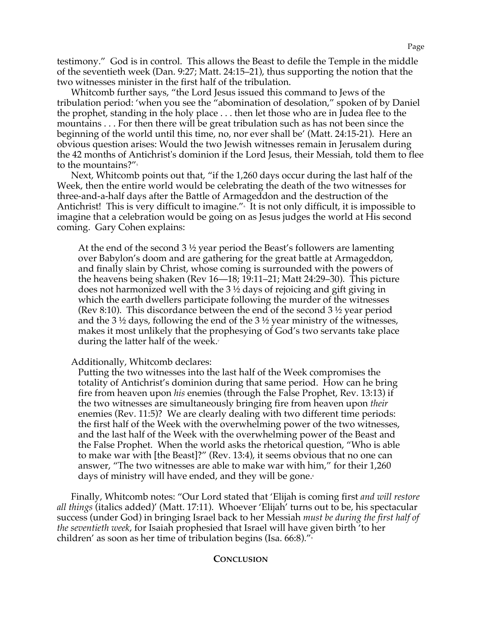testimony." God is in control. This allows the Beast to defile the Temple in the middle of the seventieth week (Dan. 9:27; Matt. 24:15–21), thus supporting the notion that the two witnesses minister in the first half of the tribulation.

Whitcomb further says, "the Lord Jesus issued this command to Jews of the tribulation period: 'when you see the "abomination of desolation," spoken of by Daniel the prophet, standing in the holy place . . . then let those who are in Judea flee to the mountains . . . For then there will be great tribulation such as has not been since the beginning of the world until this time, no, nor ever shall be' (Matt. 24:15-21). Here an obvious question arises: Would the two Jewish witnesses remain in Jerusalem during the 42 months of Antichrist's dominion if the Lord Jesus, their Messiah, told them to flee to the mountains?"<sup>5</sup>

Next, Whitcomb points out that, "if the 1,260 days occur during the last half of the Week, then the entire world would be celebrating the death of the two witnesses for three-and-a-half days after the Battle of Armageddon and the destruction of the Antichrist! This is very difficult to imagine." It is not only difficult, it is impossible to imagine that a celebration would be going on as Jesus judges the world at His second coming. Gary Cohen explains:

At the end of the second  $3\frac{1}{2}$  year period the Beast's followers are lamenting over Babylon's doom and are gathering for the great battle at Armageddon, and finally slain by Christ, whose coming is surrounded with the powers of the heavens being shaken (Rev 16—18; 19:11–21; Matt 24:29–30). This picture does not harmonized well with the 3 ½ days of rejoicing and gift giving in which the earth dwellers participate following the murder of the witnesses (Rev 8:10). This discordance between the end of the second 3 ½ year period and the 3 ½ days, following the end of the 3 ½ year ministry of the witnesses, makes it most unlikely that the prophesying of God's two servants take place during the latter half of the week.<sup>7</sup>

Additionally, Whitcomb declares:

Putting the two witnesses into the last half of the Week compromises the totality of Antichrist's dominion during that same period. How can he bring fire from heaven upon *his* enemies (through the False Prophet, Rev. 13:13) if the two witnesses are simultaneously bringing fire from heaven upon *their*  enemies (Rev. 11:5)? We are clearly dealing with two different time periods: the first half of the Week with the overwhelming power of the two witnesses, and the last half of the Week with the overwhelming power of the Beast and the False Prophet. When the world asks the rhetorical question, "Who is able to make war with [the Beast]?" (Rev. 13:4), it seems obvious that no one can answer, "The two witnesses are able to make war with him," for their 1,260 days of ministry will have ended, and they will be gone.<sup>8</sup>

Finally, Whitcomb notes: "Our Lord stated that 'Elijah is coming first *and will restore all things* (italics added)' (Matt. 17:11). Whoever 'Elijah' turns out to be, his spectacular success (under God) in bringing Israel back to her Messiah *must be during the first half of the seventieth week*, for Isaiah prophesied that Israel will have given birth 'to her children' as soon as her time of tribulation begins (Isa. 66:8)."<sup>9</sup>

## **CONCLUSION**